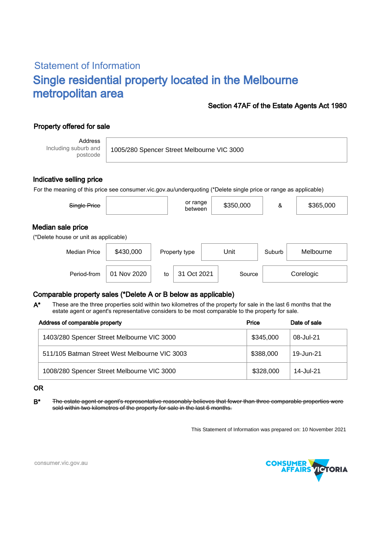# Statement of Information Single residential property located in the Melbourne metropolitan area

### Section 47AF of the Estate Agents Act 1980

# Property offered for sale

Address Including suburb and postcode

1005/280 Spencer Street Melbourne VIC 3000

#### Indicative selling price

For the meaning of this price see consumer.vic.gov.au/underquoting (\*Delete single price or range as applicable)

| Single Price                          |           | or range<br>between | \$350,000 | &      | \$365,000 |  |  |  |  |
|---------------------------------------|-----------|---------------------|-----------|--------|-----------|--|--|--|--|
| Median sale price                     |           |                     |           |        |           |  |  |  |  |
| (*Delete house or unit as applicable) |           |                     |           |        |           |  |  |  |  |
| <b>Median Price</b>                   | \$430,000 | Property type       | Unit      | Suburb | Melbourne |  |  |  |  |

Period-from | 01 Nov 2020 | to | 31 Oct 2021 | Source | Corelogic

## Comparable property sales (\*Delete A or B below as applicable)

These are the three properties sold within two kilometres of the property for sale in the last 6 months that the estate agent or agent's representative considers to be most comparable to the property for sale. A\*

| Address of comparable property                | Price     | Date of sale |
|-----------------------------------------------|-----------|--------------|
| 1403/280 Spencer Street Melbourne VIC 3000    | \$345,000 | 08-Jul-21    |
| 511/105 Batman Street West Melbourne VIC 3003 | \$388,000 | 19-Jun-21    |
| 1008/280 Spencer Street Melbourne VIC 3000    | \$328,000 | 14-Jul-21    |

#### OR

B<sup>\*</sup> The estate agent or agent's representative reasonably believes that fewer than three comparable properties were sold within two kilometres of the property for sale in the last 6 months.

This Statement of Information was prepared on: 10 November 2021



consumer.vic.gov.au